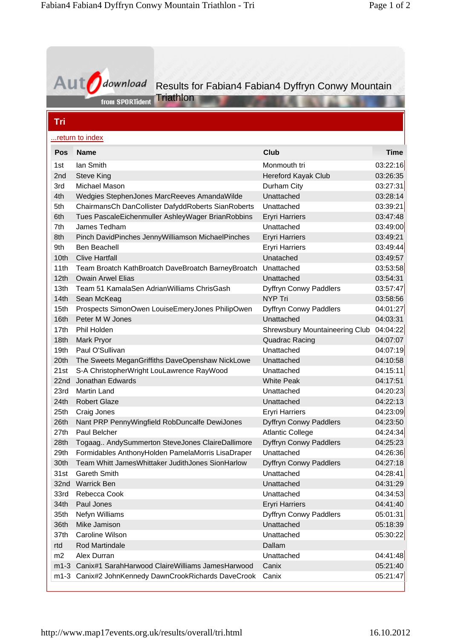| <b>Aut</b>       | lownload                                           | Results for Fabian4 Fabian4 Dyffryn Conwy Mountain |             |
|------------------|----------------------------------------------------|----------------------------------------------------|-------------|
|                  | Triathlon<br>from SPORTident                       |                                                    |             |
| Tri              |                                                    |                                                    |             |
|                  | return to index                                    |                                                    |             |
| Pos              | <b>Name</b>                                        | Club                                               | <b>Time</b> |
| 1st              | lan Smith                                          | Monmouth tri                                       | 03:22:16    |
| 2nd              | <b>Steve King</b>                                  | <b>Hereford Kayak Club</b>                         | 03:26:35    |
| 3rd              | Michael Mason                                      | Durham City                                        | 03:27:31    |
| 4th              | Wedgies StephenJones MarcReeves AmandaWilde        | Unattached                                         | 03:28:14    |
| 5th              | ChairmansCh DanCollister DafyddRoberts SianRoberts | Unattached                                         | 03:39:21    |
| 6th              | Tues PascaleEichenmuller AshleyWager BrianRobbins  | <b>Eryri Harriers</b>                              | 03:47:48    |
| 7th              | James Tedham                                       | Unattached                                         | 03:49:00    |
| 8th              | Pinch DavidPinches JennyWilliamson MichaelPinches  | <b>Eryri Harriers</b>                              | 03:49:21    |
| 9th              | <b>Ben Beachell</b>                                | <b>Eryri Harriers</b>                              | 03:49:44    |
| 10th             | <b>Clive Hartfall</b>                              | Unatached                                          | 03:49:57    |
| 11th             | Team Broatch KathBroatch DaveBroatch BarneyBroatch | Unattached                                         | 03:53:58    |
| 12 <sub>th</sub> | <b>Owain Arwel Elias</b>                           | Unattached                                         | 03:54:31    |
| 13 <sub>th</sub> | Team 51 KamalaSen AdrianWilliams ChrisGash         | Dyffryn Conwy Paddlers                             | 03:57:47    |
| 14 <sub>th</sub> | Sean McKeag                                        | <b>NYP Tri</b>                                     | 03:58:56    |
| 15th             | Prospects SimonOwen LouiseEmeryJones PhilipOwen    | Dyffryn Conwy Paddlers                             | 04:01:27    |
| 16 <sub>th</sub> | Peter M W Jones                                    | Unattached                                         | 04:03:31    |
| 17th             | Phil Holden                                        | <b>Shrewsbury Mountaineering Club</b>              | 04:04:22    |
| 18th             | Mark Pryor                                         | <b>Quadrac Racing</b>                              | 04:07:07    |
| 19 <sub>th</sub> | Paul O'Sullivan                                    | Unattached                                         | 04:07:19    |
| 20th             | The Sweets MeganGriffiths DaveOpenshaw NickLowe    | Unattached                                         | 04:10:58    |
| 21st             | S-A ChristopherWright LouLawrence RayWood          | Unattached                                         | 04:15:11    |
|                  | 22nd Jonathan Edwards                              | <b>White Peak</b>                                  | 04:17:51    |
| 23rd             | Martin Land                                        | Unattached                                         | 04:20:23    |
| 24th             | <b>Robert Glaze</b>                                | Unattached                                         | 04:22:13    |
| 25 <sub>th</sub> | Craig Jones                                        | <b>Eryri Harriers</b>                              | 04:23:09    |
| 26th             | Nant PRP PennyWingfield RobDuncalfe DewiJones      | Dyffryn Conwy Paddlers                             | 04:23:50    |
| 27th             | Paul Belcher                                       | <b>Atlantic College</b>                            | 04:24:34    |
| 28th             | Togaag AndySummerton SteveJones ClaireDallimore    | Dyffryn Conwy Paddlers                             | 04:25:23    |
| 29th             | Formidables AnthonyHolden PamelaMorris LisaDraper  | Unattached                                         | 04:26:36    |
| 30th             | Team Whitt JamesWhittaker JudithJones SionHarlow   | Dyffryn Conwy Paddlers                             | 04:27:18    |
| 31st             | <b>Gareth Smith</b>                                | Unattached                                         | 04:28:41    |
| 32nd             | <b>Warrick Ben</b>                                 | Unattached                                         | 04:31:29    |
| 33rd             | Rebecca Cook                                       | Unattached                                         | 04:34:53    |
| 34th             | Paul Jones                                         | <b>Eryri Harriers</b>                              | 04:41:40    |
| 35th             | Nefyn Williams                                     | Dyffryn Conwy Paddlers                             | 05:01:31    |
| 36th             | Mike Jamison                                       | Unattached                                         | 05:18:39    |
| 37th             | Caroline Wilson                                    | Unattached                                         | 05:30:22    |
| rtd              | Rod Martindale                                     | Dallam                                             |             |
| m2               | Alex Durran                                        | Unattached                                         | 04:41:48    |
| $m1-3$           | Canix#1 SarahHarwood ClaireWilliams JamesHarwood   | Canix                                              | 05:21:40    |
| m1-3             | Canix#2 JohnKennedy DawnCrookRichards DaveCrook    | Canix                                              | 05:21:47    |
|                  |                                                    |                                                    |             |